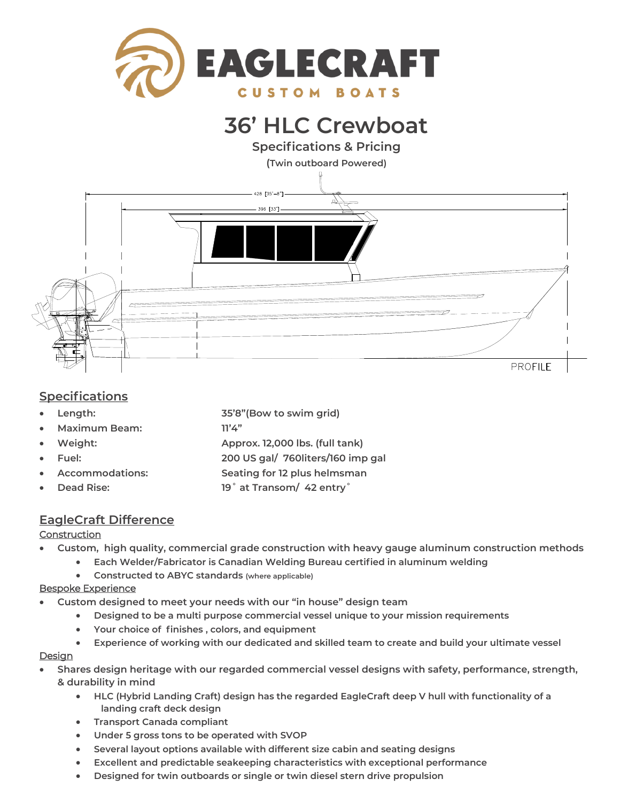

# **36' HLC Crewboat**

**Specifications & Pricing** 



### **Specifications**

- **Length: 35'8"(Bow to swim grid)**
- **Maximum Beam: 11'4"**
- **Weight: Approx. 12,000 lbs. (full tank)**
- **Fuel: 200 US gal/ 760liters/160 imp gal**
- - **Accommodations: Seating for 12 plus helmsman**
- **Dead Rise: 19˚ at Transom/ 42 entry˚**
- **EagleCraft Difference**

### **Construction**

- **Custom, high quality, commercial grade construction with heavy gauge aluminum construction methods**
	- **Each Welder/Fabricator is Canadian Welding Bureau certified in aluminum welding**
		- **Constructed to ABYC standards (where applicable)**

### Bespoke Experience

- **Custom designed to meet your needs with our "in house" design team**
	- **Designed to be a multi purpose commercial vessel unique to your mission requirements**
	- **Your choice of finishes , colors, and equipment**
	- **Experience of working with our dedicated and skilled team to create and build your ultimate vessel**

### **Design**

- **Shares design heritage with our regarded commercial vessel designs with safety, performance, strength, & durability in mind** 
	- **HLC (Hybrid Landing Craft) design has the regarded EagleCraft deep V hull with functionality of a landing craft deck design**
	- **Transport Canada compliant**
	- **Under 5 gross tons to be operated with SVOP**
	- **Several layout options available with different size cabin and seating designs**
	- **Excellent and predictable seakeeping characteristics with exceptional performance**
	- **Designed for twin outboards or single or twin diesel stern drive propulsion**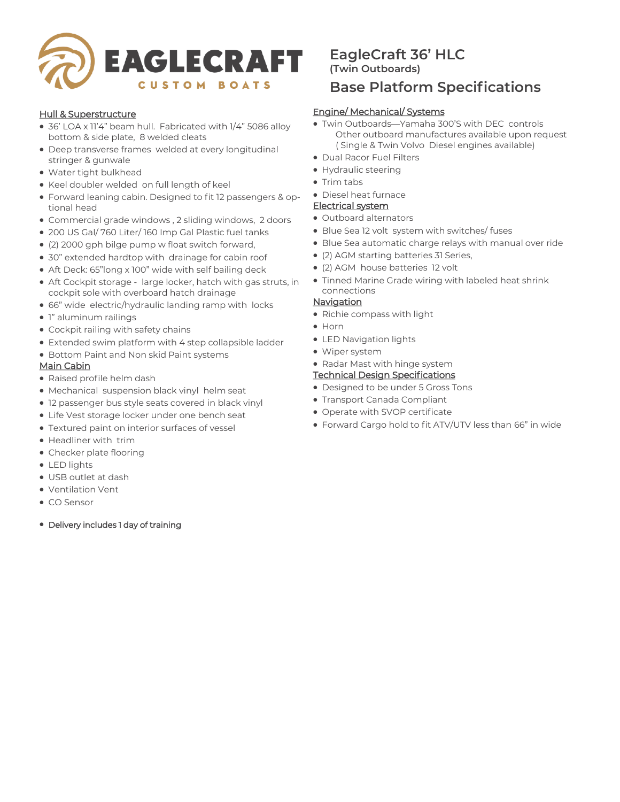

### Hull & Superstructure

- 36' LOA x 11'4" beam hull. Fabricated with 1/4" 5086 alloy bottom & side plate, 8 welded cleats
- Deep transverse frames welded at every longitudinal stringer & gunwale
- Water tight bulkhead
- Keel doubler welded on full length of keel
- Forward leaning cabin. Designed to fit 12 passengers & optional head
- Commercial grade windows , 2 sliding windows, 2 doors
- 200 US Gal/ 760 Liter/ 160 Imp Gal Plastic fuel tanks
- (2) 2000 gph bilge pump w float switch forward,
- 30" extended hardtop with drainage for cabin roof
- Aft Deck: 65"long x 100" wide with self bailing deck
- Aft Cockpit storage large locker, hatch with gas struts, in cockpit sole with overboard hatch drainage
- 66" wide electric/hydraulic landing ramp with locks
- 1" aluminum railings
- Cockpit railing with safety chains
- Extended swim platform with 4 step collapsible ladder
- Bottom Paint and Non skid Paint systems

### Main Cabin

- Raised profile helm dash
- Mechanical suspension black vinyl helm seat
- 12 passenger bus style seats covered in black vinyl
- Life Vest storage locker under one bench seat
- Textured paint on interior surfaces of vessel
- Headliner with trim
- Checker plate flooring
- LED lights
- USB outlet at dash
- Ventilation Vent
- CO Sensor
- Delivery includes 1 day of training

## **EagleCraft 36' HLC (Twin Outboards)**

## **Base Platform Specifications**

### Engine/ Mechanical/ Systems

- Twin Outboards—Yamaha 300'S with DEC controls Other outboard manufactures available upon request ( Single & Twin Volvo Diesel engines available)
- Dual Racor Fuel Filters
- Hydraulic steering
- Trim tabs
- Diesel heat furnace

### Electrical system

- Outboard alternators
- Blue Sea 12 volt system with switches/ fuses
- Blue Sea automatic charge relays with manual over ride
- (2) AGM starting batteries 31 Series,
- (2) AGM house batteries 12 volt
- Tinned Marine Grade wiring with labeled heat shrink connections
- **Navigation** 
	- Richie compass with light
	- Horn
	- LED Navigation lights
	- Wiper system
	- Radar Mast with hinge system

### Technical Design Specifications

- Designed to be under 5 Gross Tons
- Transport Canada Compliant
- Operate with SVOP certificate
- Forward Cargo hold to fit ATV/UTV less than 66" in wide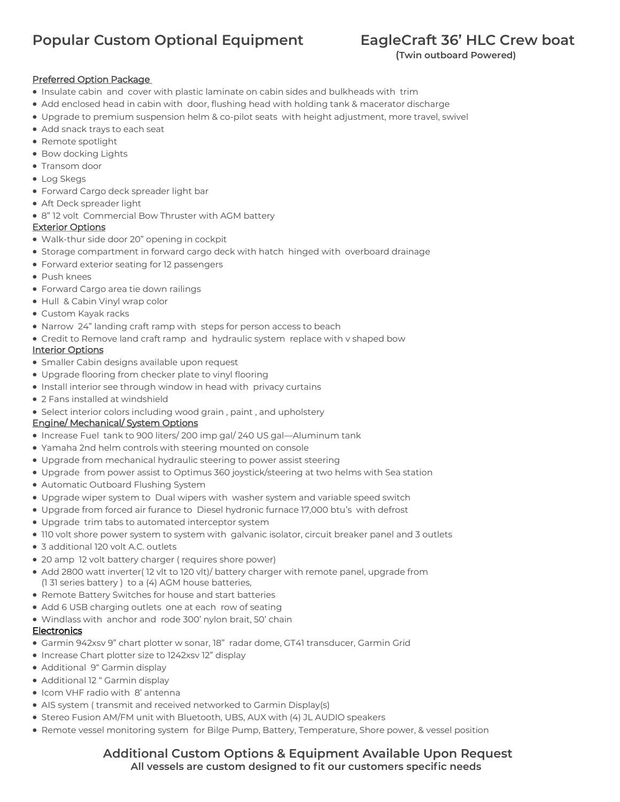## **Popular Custom Optional Equipment EagleCraft 36' HLC Crew boat**

 **(Twin outboard Powered)**

### Preferred Option Package

- Insulate cabin and cover with plastic laminate on cabin sides and bulkheads with trim
- Add enclosed head in cabin with door, flushing head with holding tank & macerator discharge
- Upgrade to premium suspension helm & co-pilot seats with height adjustment, more travel, swivel
- Add snack trays to each seat
- Remote spotlight
- Bow docking Lights
- Transom door
- Log Skegs
- Forward Cargo deck spreader light bar
- Aft Deck spreader light
- 8" 12 volt Commercial Bow Thruster with AGM battery

### Exterior Options

- Walk-thur side door 20" opening in cockpit
- Storage compartment in forward cargo deck with hatch hinged with overboard drainage
- Forward exterior seating for 12 passengers
- Push knees
- Forward Cargo area tie down railings
- Hull & Cabin Vinyl wrap color
- Custom Kayak racks
- Narrow 24" landing craft ramp with steps for person access to beach
- Credit to Remove land craft ramp and hydraulic system replace with v shaped bow

### **Interior Options**

- Smaller Cabin designs available upon request
- Upgrade flooring from checker plate to vinyl flooring
- Install interior see through window in head with privacy curtains
- 2 Fans installed at windshield
- Select interior colors including wood grain , paint , and upholstery

### Engine/ Mechanical/ System Options

- Increase Fuel tank to 900 liters/ 200 imp gal/ 240 US gal—Aluminum tank
- Yamaha 2nd helm controls with steering mounted on console
- Upgrade from mechanical hydraulic steering to power assist steering
- Upgrade from power assist to Optimus 360 joystick/steering at two helms with Sea station
- Automatic Outboard Flushing System
- Upgrade wiper system to Dual wipers with washer system and variable speed switch
- Upgrade from forced air furance to Diesel hydronic furnace 17,000 btu's with defrost
- Upgrade trim tabs to automated interceptor system
- 110 volt shore power system to system with galvanic isolator, circuit breaker panel and 3 outlets
- 3 additional 120 volt A.C. outlets
- 20 amp 12 volt battery charger ( requires shore power)
- Add 2800 watt inverter( 12 vlt to 120 vlt)/ battery charger with remote panel, upgrade from (1 31 series battery ) to a (4) AGM house batteries,
- Remote Battery Switches for house and start batteries
- Add 6 USB charging outlets one at each row of seating
- Windlass with anchor and rode 300' nylon brait, 50' chain

### **Electronics**

- Garmin 942xsv 9" chart plotter w sonar, 18" radar dome, GT41 transducer, Garmin Grid
- Increase Chart plotter size to 1242xsv 12" display
- Additional 9" Garmin display
- Additional 12 " Garmin display
- Icom VHF radio with 8' antenna
- AIS system ( transmit and received networked to Garmin Display(s)
- Stereo Fusion AM/FM unit with Bluetooth, UBS, AUX with (4) JL AUDIO speakers
- Remote vessel monitoring system for Bilge Pump, Battery, Temperature, Shore power, & vessel position

### **Additional Custom Options & Equipment Available Upon Request All vessels are custom designed to fit our customers specific needs**